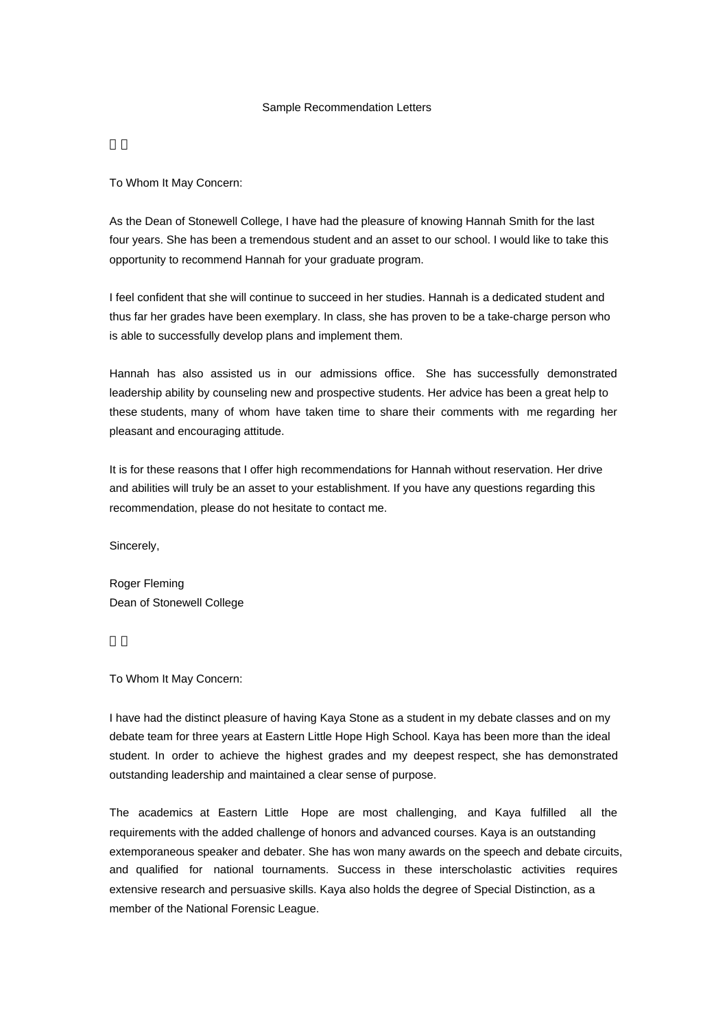## Sample Recommendation Letters

To Whom It May Concern:

As the Dean of Stonewell College, I have had the pleasure of knowing Hannah Smith for the last four years. She has been a tremendous student and an asset to our school. I would like to take this opportunity to recommend Hannah for your graduate program.

I feel confident that she will continue to succeed in her studies. Hannah is a dedicated student and thus far her grades have been exemplary. In class, she has proven to be a take-charge person who is able to successfully develop plans and implement them.

Hannah has also assisted us in our admissions office. She has successfully demonstrated leadership ability by counseling new and prospective students. Her advice has been a great help to these students, many of whom have taken time to share their comments with me regarding her pleasant and encouraging attitude.

It is for these reasons that I offer high recommendations for Hannah without reservation. Her drive and abilities will truly be an asset to your establishment. If you have any questions regarding this recommendation, please do not hesitate to contact me.

Sincerely,

Roger Fleming Dean of Stonewell College

To Whom It May Concern:

I have had the distinct pleasure of having Kaya Stone as a student in my debate classes and on my debate team for three years at Eastern Little Hope High School. Kaya has been more than the ideal student. In order to achieve the highest grades and my deepest respect, she has demonstrated outstanding leadership and maintained a clear sense of purpose.

The academics at Eastern Little Hope are most challenging, and Kaya fulfilled all the requirements with the added challenge of honors and advanced courses. Kaya is an outstanding extemporaneous speaker and debater. She has won many awards on the speech and debate circuits, and qualified for national tournaments. Success in these interscholastic activities requires extensive research and persuasive skills. Kaya also holds the degree of Special Distinction, as a member of the National Forensic League.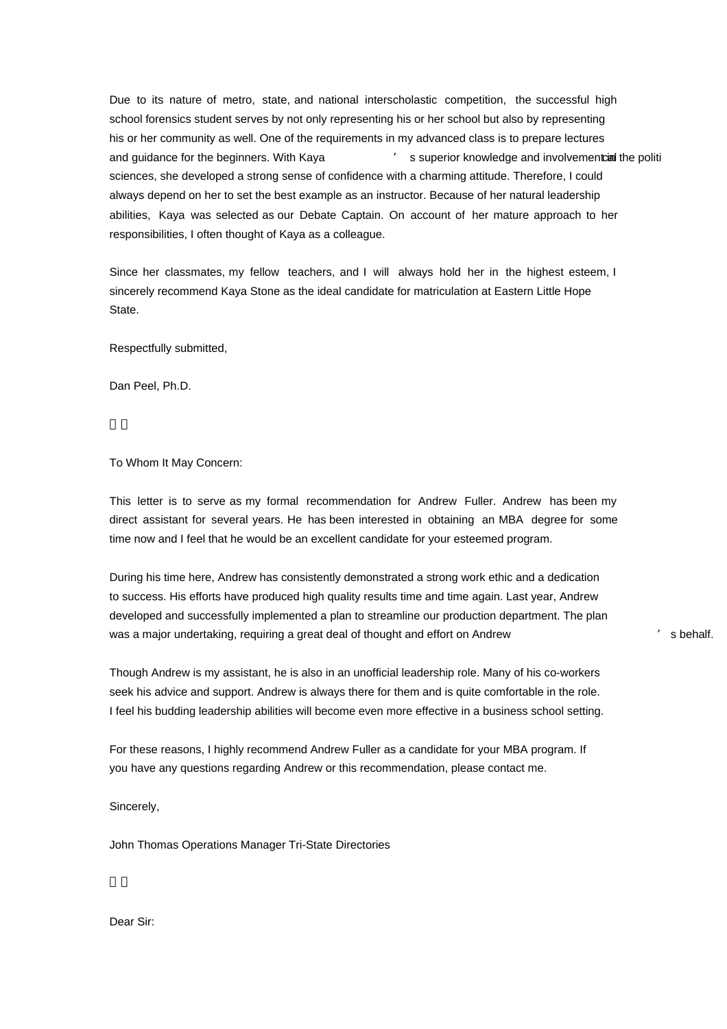Due to its nature of metro, state, and national interscholastic competition, the successful high school forensics student serves by not only representing his or her school but also by representing his or her community as well. One of the requirements in my advanced class is to prepare lectures and guidance for the beginners. With Kaya  $\cdot$  s superior knowledge and involvement in the politi sciences, she developed a strong sense of confidence with a charming attitude. Therefore, I could always depend on her to set the best example as an instructor. Because of her natural leadership abilities, Kaya was selected as our Debate Captain. On account of her mature approach to her responsibilities, I often thought of Kaya as a colleague.

During his time here, Andrew has consistently demonstrated a strong work ethic and a dedication to success. His efforts have produced high quality results time and time again. Last year, Andrew developed and successfully implemented a plan to streamline our production department. The plan was a major undertaking, requiring a great deal of thought and effort on Andrew Theorem and Schools (Schools Schools

Since her classmates, my fellow teachers, and I will always hold her in the highest esteem, I sincerely recommend Kaya Stone as the ideal candidate for matriculation at Eastern Little Hope State.

Respectfully submitted,

Dan Peel, Ph.D.

To Whom It May Concern:

This letter is to serve as my formal recommendation for Andrew Fuller. Andrew has been my direct assistant for several years. He has been interested in obtaining an MBA degree for some time now and I feel that he would be an excellent candidate for your esteemed program.

Though Andrew is my assistant, he is also in an unofficial leadership role. Many of his co-workers

seek his advice and support. Andrew is always there for them and is quite comfortable in the role. I feel his budding leadership abilities will become even more effective in a business school setting.

For these reasons, I highly recommend Andrew Fuller as a candidate for your MBA program. If you have any questions regarding Andrew or this recommendation, please contact me.

Sincerely,

John Thomas Operations Manager Tri-State Directories

Dear Sir: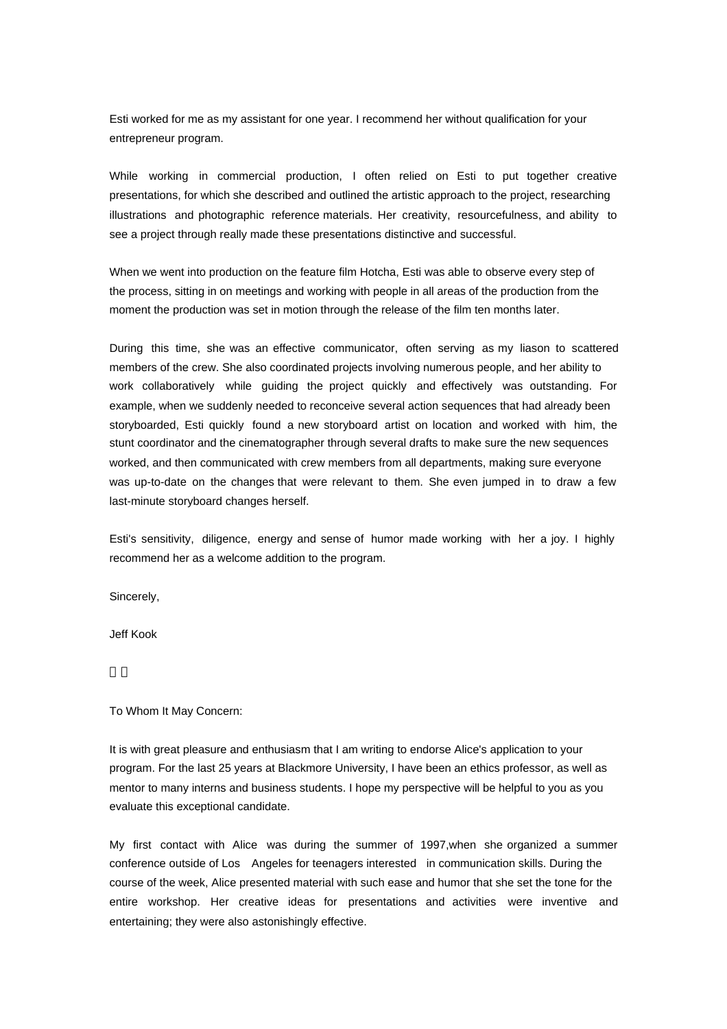Esti worked for me as my assistant for one year. I recommend her without qualification for your entrepreneur program.

While working in commercial production, I often relied on Esti to put together creative presentations, for which she described and outlined the artistic approach to the project, researching illustrations and photographic reference materials. Her creativity, resourcefulness, and ability to see a project through really made these presentations distinctive and successful.

When we went into production on the feature film Hotcha, Esti was able to observe every step of the process, sitting in on meetings and working with people in all areas of the production from the moment the production was set in motion through the release of the film ten months later.

During this time, she was an effective communicator, often serving as my liason to scattered members of the crew. She also coordinated projects involving numerous people, and her ability to work collaboratively while guiding the project quickly and effectively was outstanding. For example, when we suddenly needed to reconceive several action sequences that had already been storyboarded, Esti quickly found a new storyboard artist on location and worked with him, the stunt coordinator and the cinematographer through several drafts to make sure the new sequences worked, and then communicated with crew members from all departments, making sure everyone was up-to-date on the changes that were relevant to them. She even jumped in to draw a few last-minute storyboard changes herself.

Esti's sensitivity, diligence, energy and sense of humor made working with her a joy. I highly recommend her as a welcome addition to the program.

Sincerely,

Jeff Kook

## To Whom It May Concern:

It is with great pleasure and enthusiasm that I am writing to endorse Alice's application to your program. For the last 25 years at Blackmore University, I have been an ethics professor, as well as mentor to many interns and business students. I hope my perspective will be helpful to you as you evaluate this exceptional candidate.

My first contact with Alice was during the summer of 1997,when she organized a summer conference outside of Los Angeles for teenagers interested in communication skills. During the course of the week, Alice presented material with such ease and humor that she set the tone for the entire workshop. Her creative ideas for presentations and activities were inventive and entertaining; they were also astonishingly effective.